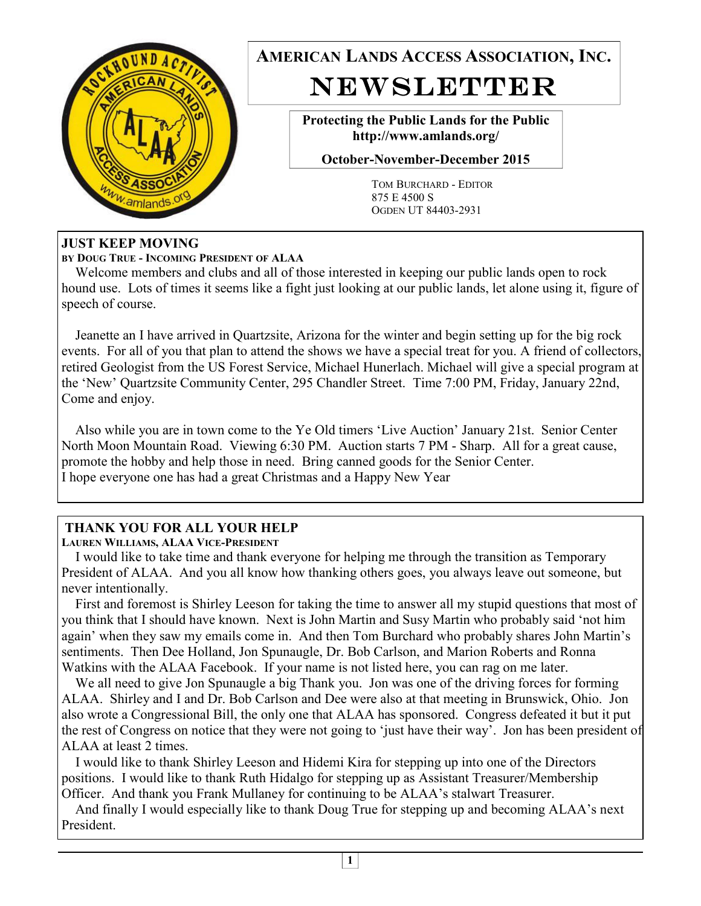

**AMERICAN LANDS ACCESS ASSOCIATION, INC.**  NEWSLETTER

> **Protecting the Public Lands for the Public http://www.amlands.org/**

**October-November-December 2015** 

TOM BURCHARD - EDITOR 875 E 4500 S OGDEN UT 84403-2931

#### **JUST KEEP MOVING**

**BY DOUG TRUE - INCOMING PRESIDENT OF ALAA** 

 Welcome members and clubs and all of those interested in keeping our public lands open to rock hound use. Lots of times it seems like a fight just looking at our public lands, let alone using it, figure of speech of course.

 Jeanette an I have arrived in Quartzsite, Arizona for the winter and begin setting up for the big rock events. For all of you that plan to attend the shows we have a special treat for you. A friend of collectors, retired Geologist from the US Forest Service, Michael Hunerlach. Michael will give a special program at the 'New' Quartzsite Community Center, 295 Chandler Street. Time 7:00 PM, Friday, January 22nd, Come and enjoy.

 Also while you are in town come to the Ye Old timers 'Live Auction' January 21st. Senior Center North Moon Mountain Road. Viewing 6:30 PM. Auction starts 7 PM - Sharp. All for a great cause, promote the hobby and help those in need. Bring canned goods for the Senior Center. I hope everyone one has had a great Christmas and a Happy New Year

### **THANK YOU FOR ALL YOUR HELP**

**LAUREN WILLIAMS, ALAA VICE-PRESIDENT** 

 I would like to take time and thank everyone for helping me through the transition as Temporary President of ALAA. And you all know how thanking others goes, you always leave out someone, but never intentionally.

 First and foremost is Shirley Leeson for taking the time to answer all my stupid questions that most of you think that I should have known. Next is John Martin and Susy Martin who probably said 'not him again' when they saw my emails come in. And then Tom Burchard who probably shares John Martin's sentiments. Then Dee Holland, Jon Spunaugle, Dr. Bob Carlson, and Marion Roberts and Ronna Watkins with the ALAA Facebook. If your name is not listed here, you can rag on me later.

We all need to give Jon Spunaugle a big Thank you. Jon was one of the driving forces for forming ALAA. Shirley and I and Dr. Bob Carlson and Dee were also at that meeting in Brunswick, Ohio. Jon also wrote a Congressional Bill, the only one that ALAA has sponsored. Congress defeated it but it put the rest of Congress on notice that they were not going to 'just have their way'. Jon has been president of ALAA at least 2 times.

 I would like to thank Shirley Leeson and Hidemi Kira for stepping up into one of the Directors positions. I would like to thank Ruth Hidalgo for stepping up as Assistant Treasurer/Membership Officer. And thank you Frank Mullaney for continuing to be ALAA's stalwart Treasurer.

 And finally I would especially like to thank Doug True for stepping up and becoming ALAA's next President.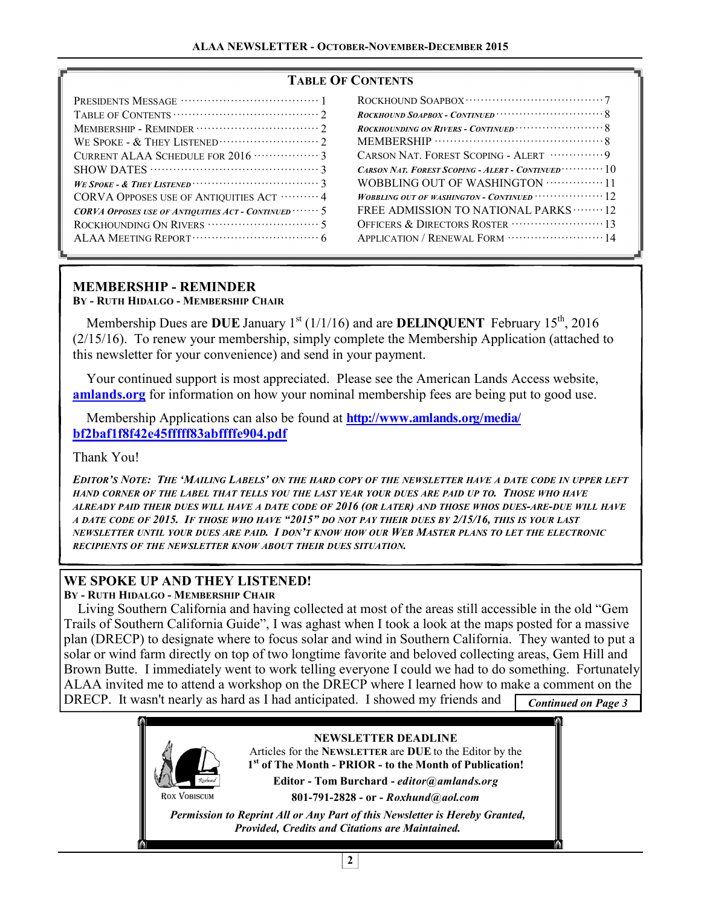#### **TABLE OF CONTENTS**

## **MEMBERSHIP - REMINDER**

**BY - RUTH HIDALGO - MEMBERSHIP CHAIR**

Membership Dues are **DUE** January  $1^{st}$  ( $1/1/16$ ) and are **DELINQUENT** February  $15^{th}$ , 2016 (2/15/16). To renew your membership, simply complete the Membership Application (attached to this newsletter for your convenience) and send in your payment.

 Your continued support is most appreciated. Please see the American Lands Access website, **amlands.org** for information on how your nominal membership fees are being put to good use.

 Membership Applications can also be found at **http://www.amlands.org/media/ bf2baf1f8f42e45fffff83abffffe904.pdf**

Thank You!

EDITOR'S NOTE: THE 'MAILING LABELS' ON THE HARD COPY OF THE NEWSLETTER HAVE A DATE CODE IN UPPER LEFT HAND CORNER OF THE LABEL THAT TELLS YOU THE LAST YEAR YOUR DUES ARE PAID UP TO. THOSE WHO HAVE ALREADY PAID THEIR DUES WILL HAVE A DATE CODE OF 2016 (OR LATER) AND THOSE WHOS DUES-ARE-DUE WILL HAVE A DATE CODE OF 2015. IF THOSE WHO HAVE "2015" DO NOT PAY THEIR DUES BY 2/15/16, THIS IS YOUR LAST NEWSLETTER UNTIL YOUR DUES ARE PAID. I DON'T KNOW HOW OUR WEB MASTER PLANS TO LET THE ELECTRONIC *RECIPIENTS OF THE NEWSLETTER KNOW ABOUT THEIR DUES SITUATION.* 

### **WE SPOKE UP AND THEY LISTENED!**

**BY - RUTH HIDALGO - MEMBERSHIP CHAIR**

 Living Southern California and having collected at most of the areas still accessible in the old "Gem Trails of Southern California Guide", I was aghast when I took a look at the maps posted for a massive plan (DRECP) to designate where to focus solar and wind in Southern California. They wanted to put a solar or wind farm directly on top of two longtime favorite and beloved collecting areas, Gem Hill and Brown Butte. I immediately went to work telling everyone I could we had to do something. Fortunately ALAA invited me to attend a workshop on the DRECP where I learned how to make a comment on the DRECP. It wasn't nearly as hard as I had anticipated. I showed my friends and **Continued on Page 3** 

> ROX VOBISCUM **NEWSLETTER DEADLINE**  Articles for the **NEWSLETTER** are **DUE** to the Editor by the **1 st of The Month - PRIOR - to the Month of Publication! Editor - Tom Burchard -** *editor@amlands.org*  **801-791-2828 - or -** *Roxhund@aol.com*

*Permission to Reprint All or Any Part of this Newsletter is Hereby Granted, Provided, Credits and Citations are Maintained.*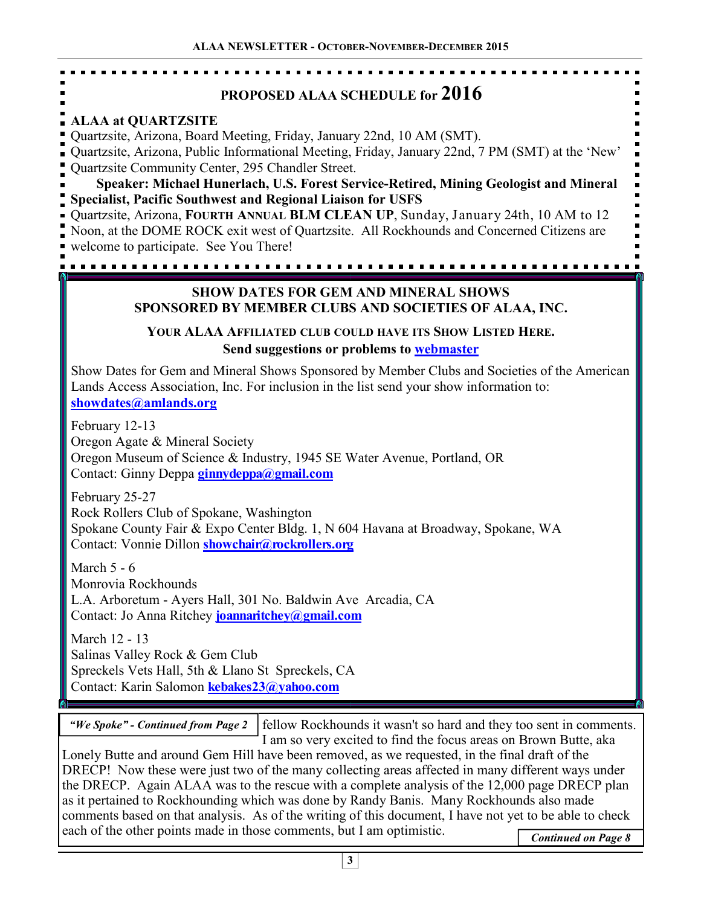# **PROPOSED ALAA SCHEDULE for 2016**

## **ALAA at QUARTZSITE**

Quartzsite, Arizona, Board Meeting, Friday, January 22nd, 10 AM (SMT).

Quartzsite, Arizona, Public Informational Meeting, Friday, January 22nd, 7 PM (SMT) at the 'New' Quartzsite Community Center, 295 Chandler Street.

**Speaker: Michael Hunerlach, U.S. Forest Service-Retired, Mining Geologist and Mineral Specialist, Pacific Southwest and Regional Liaison for USFS**

Quartzsite, Arizona, **FOURTH ANNUAL BLM CLEAN UP**, Sunday, January 24th, 10 AM to 12 Noon, at the DOME ROCK exit west of Quartzsite. All Rockhounds and Concerned Citizens are welcome to participate. See You There!

#### **SHOW DATES FOR GEM AND MINERAL SHOWS SPONSORED BY MEMBER CLUBS AND SOCIETIES OF ALAA, INC.**

### **YOUR ALAA AFFILIATED CLUB COULD HAVE ITS SHOW LISTED HERE. Send suggestions or problems to webmaster**

Show Dates for Gem and Mineral Shows Sponsored by Member Clubs and Societies of the American Lands Access Association, Inc. For inclusion in the list send your show information to: **showdates@amlands.org**

February 12-13 Oregon Agate & Mineral Society Oregon Museum of Science & Industry, 1945 SE Water Avenue, Portland, OR Contact: Ginny Deppa **ginnydeppa@gmail.com**

February 25-27 Rock Rollers Club of Spokane, Washington Spokane County Fair & Expo Center Bldg. 1, N 604 Havana at Broadway, Spokane, WA Contact: Vonnie Dillon **showchair@rockrollers.org** 

March 5 - 6 Monrovia Rockhounds L.A. Arboretum - Ayers Hall, 301 No. Baldwin Ave Arcadia, CA Contact: Jo Anna Ritchey **joannaritchey@gmail.com**

March 12 - 13 Salinas Valley Rock & Gem Club Spreckels Vets Hall, 5th & Llano St Spreckels, CA Contact: Karin Salomon **kebakes23@yahoo.com**

*"We Spoke" - Continued from Page 2* 

fellow Rockhounds it wasn't so hard and they too sent in comments. I am so very excited to find the focus areas on Brown Butte, aka

Lonely Butte and around Gem Hill have been removed, as we requested, in the final draft of the DRECP! Now these were just two of the many collecting areas affected in many different ways under the DRECP. Again ALAA was to the rescue with a complete analysis of the 12,000 page DRECP plan as it pertained to Rockhounding which was done by Randy Banis. Many Rockhounds also made comments based on that analysis. As of the writing of this document, I have not yet to be able to check each of the other points made in those comments, but I am optimistic.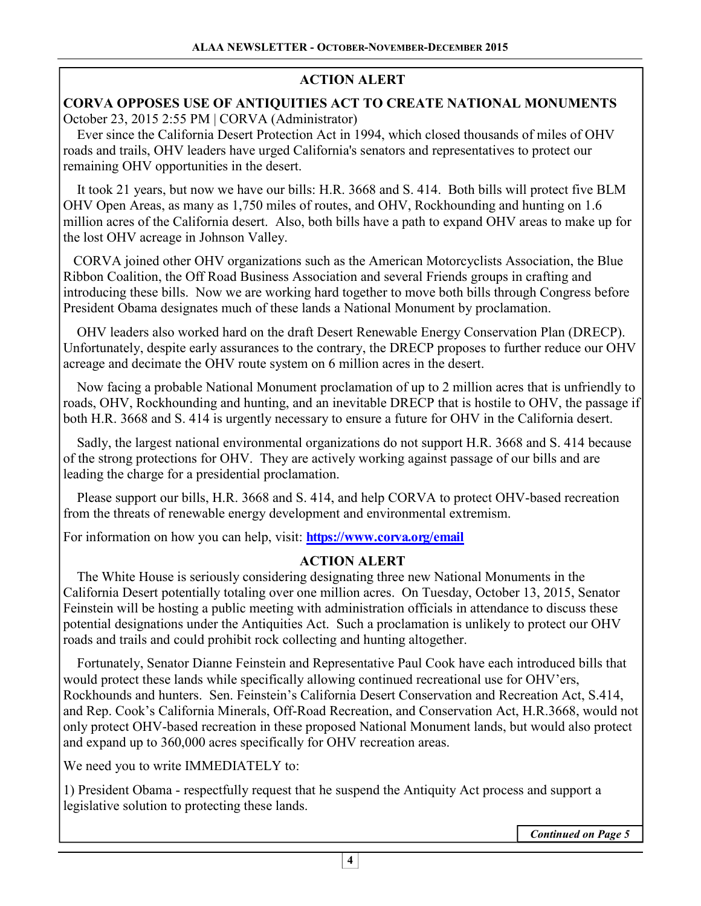## **ACTION ALERT**

### **CORVA OPPOSES USE OF ANTIQUITIES ACT TO CREATE NATIONAL MONUMENTS**  October 23, 2015 2:55 PM | CORVA (Administrator)

 Ever since the California Desert Protection Act in 1994, which closed thousands of miles of OHV roads and trails, OHV leaders have urged California's senators and representatives to protect our remaining OHV opportunities in the desert.

 It took 21 years, but now we have our bills: H.R. 3668 and S. 414. Both bills will protect five BLM OHV Open Areas, as many as 1,750 miles of routes, and OHV, Rockhounding and hunting on 1.6 million acres of the California desert. Also, both bills have a path to expand OHV areas to make up for the lost OHV acreage in Johnson Valley.

 CORVA joined other OHV organizations such as the American Motorcyclists Association, the Blue Ribbon Coalition, the Off Road Business Association and several Friends groups in crafting and introducing these bills. Now we are working hard together to move both bills through Congress before President Obama designates much of these lands a National Monument by proclamation.

 OHV leaders also worked hard on the draft Desert Renewable Energy Conservation Plan (DRECP). Unfortunately, despite early assurances to the contrary, the DRECP proposes to further reduce our OHV acreage and decimate the OHV route system on 6 million acres in the desert.

 Now facing a probable National Monument proclamation of up to 2 million acres that is unfriendly to roads, OHV, Rockhounding and hunting, and an inevitable DRECP that is hostile to OHV, the passage if both H.R. 3668 and S. 414 is urgently necessary to ensure a future for OHV in the California desert.

 Sadly, the largest national environmental organizations do not support H.R. 3668 and S. 414 because of the strong protections for OHV. They are actively working against passage of our bills and are leading the charge for a presidential proclamation.

 Please support our bills, H.R. 3668 and S. 414, and help CORVA to protect OHV-based recreation from the threats of renewable energy development and environmental extremism.

For information on how you can help, visit: **https://www.corva.org/email** Î

### **ACTION ALERT**

 The White House is seriously considering designating three new National Monuments in the California Desert potentially totaling over one million acres. On Tuesday, October 13, 2015, Senator Feinstein will be hosting a public meeting with administration officials in attendance to discuss these potential designations under the Antiquities Act. Such a proclamation is unlikely to protect our OHV roads and trails and could prohibit rock collecting and hunting altogether.

 Fortunately, Senator Dianne Feinstein and Representative Paul Cook have each introduced bills that would protect these lands while specifically allowing continued recreational use for OHV'ers, Rockhounds and hunters. Sen. Feinstein's California Desert Conservation and Recreation Act, S.414, and Rep. Cook's California Minerals, Off-Road Recreation, and Conservation Act, H.R.3668, would not only protect OHV-based recreation in these proposed National Monument lands, but would also protect and expand up to 360,000 acres specifically for OHV recreation areas.

We need you to write IMMEDIATELY to:

1) President Obama - respectfully request that he suspend the Antiquity Act process and support a legislative solution to protecting these lands.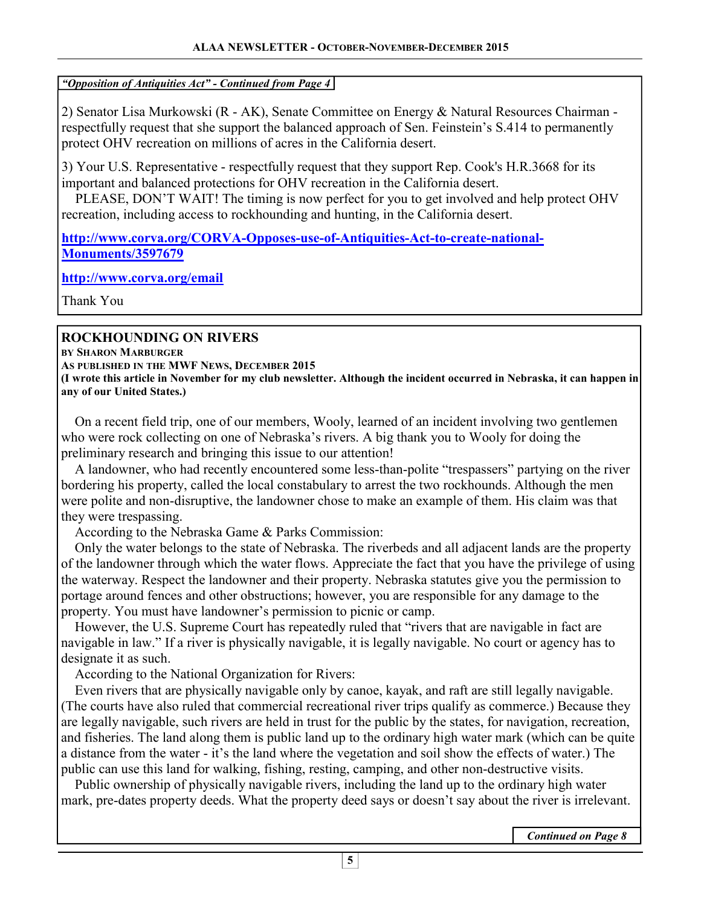#### *"Opposition of Antiquities Act" - Continued from Page 4*

2) Senator Lisa Murkowski (R - AK), Senate Committee on Energy & Natural Resources Chairman respectfully request that she support the balanced approach of Sen. Feinstein's S.414 to permanently protect OHV recreation on millions of acres in the California desert.

3) Your U.S. Representative - respectfully request that they support Rep. Cook's H.R.3668 for its important and balanced protections for OHV recreation in the California desert.

 PLEASE, DON'T WAIT! The timing is now perfect for you to get involved and help protect OHV recreation, including access to rockhounding and hunting, in the California desert.

**http://www.corva.org/CORVA-Opposes-use-of-Antiquities-Act-to-create-national-Monuments/3597679**

**http://www.corva.org/email**

Thank You

## **ROCKHOUNDING ON RIVERS**

**BY SHARON MARBURGER**

**AS PUBLISHED IN THE MWF NEWS, DECEMBER 2015 (I wrote this article in November for my club newsletter. Although the incident occurred in Nebraska, it can happen in any of our United States.)** 

 On a recent field trip, one of our members, Wooly, learned of an incident involving two gentlemen who were rock collecting on one of Nebraska's rivers. A big thank you to Wooly for doing the preliminary research and bringing this issue to our attention!

 A landowner, who had recently encountered some less-than-polite "trespassers" partying on the river bordering his property, called the local constabulary to arrest the two rockhounds. Although the men were polite and non-disruptive, the landowner chose to make an example of them. His claim was that they were trespassing.

According to the Nebraska Game & Parks Commission:

 Only the water belongs to the state of Nebraska. The riverbeds and all adjacent lands are the property of the landowner through which the water flows. Appreciate the fact that you have the privilege of using the waterway. Respect the landowner and their property. Nebraska statutes give you the permission to portage around fences and other obstructions; however, you are responsible for any damage to the property. You must have landowner's permission to picnic or camp.

 However, the U.S. Supreme Court has repeatedly ruled that "rivers that are navigable in fact are navigable in law." If a river is physically navigable, it is legally navigable. No court or agency has to designate it as such.

According to the National Organization for Rivers:

 Even rivers that are physically navigable only by canoe, kayak, and raft are still legally navigable. (The courts have also ruled that commercial recreational river trips qualify as commerce.) Because they are legally navigable, such rivers are held in trust for the public by the states, for navigation, recreation, and fisheries. The land along them is public land up to the ordinary high water mark (which can be quite a distance from the water - it's the land where the vegetation and soil show the effects of water.) The public can use this land for walking, fishing, resting, camping, and other non-destructive visits.

 Public ownership of physically navigable rivers, including the land up to the ordinary high water mark, pre-dates property deeds. What the property deed says or doesn't say about the river is irrelevant.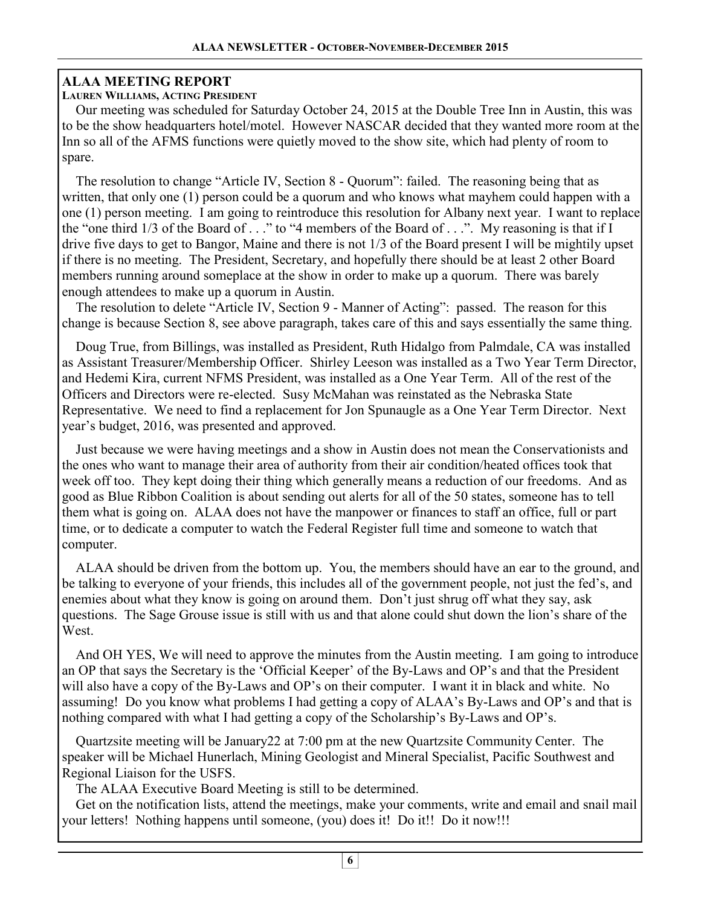### **ALAA MEETING REPORT**

#### **LAUREN WILLIAMS, ACTING PRESIDENT**

 Our meeting was scheduled for Saturday October 24, 2015 at the Double Tree Inn in Austin, this was to be the show headquarters hotel/motel. However NASCAR decided that they wanted more room at the Inn so all of the AFMS functions were quietly moved to the show site, which had plenty of room to spare.

 The resolution to change "Article IV, Section 8 - Quorum": failed. The reasoning being that as written, that only one (1) person could be a quorum and who knows what mayhem could happen with a one (1) person meeting. I am going to reintroduce this resolution for Albany next year. I want to replace the "one third 1/3 of the Board of . . ." to "4 members of the Board of . . .". My reasoning is that if I drive five days to get to Bangor, Maine and there is not 1/3 of the Board present I will be mightily upset if there is no meeting. The President, Secretary, and hopefully there should be at least 2 other Board members running around someplace at the show in order to make up a quorum. There was barely enough attendees to make up a quorum in Austin.

 The resolution to delete "Article IV, Section 9 - Manner of Acting": passed. The reason for this change is because Section 8, see above paragraph, takes care of this and says essentially the same thing.

 Doug True, from Billings, was installed as President, Ruth Hidalgo from Palmdale, CA was installed as Assistant Treasurer/Membership Officer. Shirley Leeson was installed as a Two Year Term Director, and Hedemi Kira, current NFMS President, was installed as a One Year Term. All of the rest of the Officers and Directors were re-elected. Susy McMahan was reinstated as the Nebraska State Representative. We need to find a replacement for Jon Spunaugle as a One Year Term Director. Next year's budget, 2016, was presented and approved.

 Just because we were having meetings and a show in Austin does not mean the Conservationists and the ones who want to manage their area of authority from their air condition/heated offices took that week off too. They kept doing their thing which generally means a reduction of our freedoms. And as good as Blue Ribbon Coalition is about sending out alerts for all of the 50 states, someone has to tell them what is going on. ALAA does not have the manpower or finances to staff an office, full or part time, or to dedicate a computer to watch the Federal Register full time and someone to watch that computer.

 ALAA should be driven from the bottom up. You, the members should have an ear to the ground, and be talking to everyone of your friends, this includes all of the government people, not just the fed's, and enemies about what they know is going on around them. Don't just shrug off what they say, ask questions. The Sage Grouse issue is still with us and that alone could shut down the lion's share of the West.

 And OH YES, We will need to approve the minutes from the Austin meeting. I am going to introduce an OP that says the Secretary is the 'Official Keeper' of the By-Laws and OP's and that the President will also have a copy of the By-Laws and OP's on their computer. I want it in black and white. No assuming! Do you know what problems I had getting a copy of ALAA's By-Laws and OP's and that is nothing compared with what I had getting a copy of the Scholarship's By-Laws and OP's.

 Quartzsite meeting will be January22 at 7:00 pm at the new Quartzsite Community Center. The speaker will be Michael Hunerlach, Mining Geologist and Mineral Specialist, Pacific Southwest and Regional Liaison for the USFS.

The ALAA Executive Board Meeting is still to be determined.

 Get on the notification lists, attend the meetings, make your comments, write and email and snail mail your letters! Nothing happens until someone, (you) does it! Do it!! Do it now!!!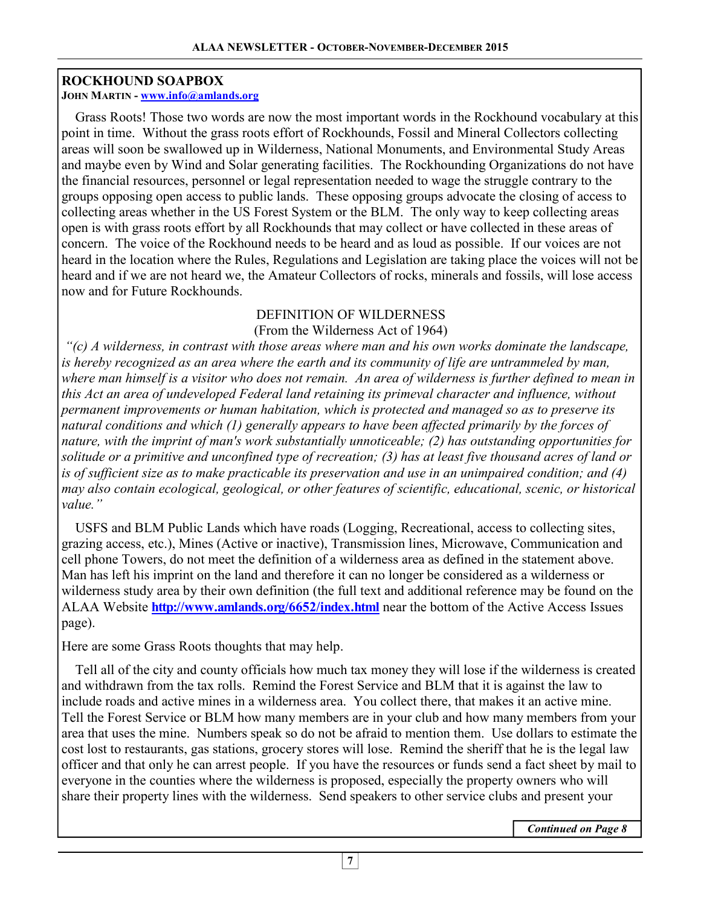#### **ROCKHOUND SOAPBOX**

#### **JOHN MARTIN - www.info@amlands.org**

 Grass Roots! Those two words are now the most important words in the Rockhound vocabulary at this point in time. Without the grass roots effort of Rockhounds, Fossil and Mineral Collectors collecting areas will soon be swallowed up in Wilderness, National Monuments, and Environmental Study Areas and maybe even by Wind and Solar generating facilities. The Rockhounding Organizations do not have the financial resources, personnel or legal representation needed to wage the struggle contrary to the groups opposing open access to public lands. These opposing groups advocate the closing of access to collecting areas whether in the US Forest System or the BLM. The only way to keep collecting areas open is with grass roots effort by all Rockhounds that may collect or have collected in these areas of concern. The voice of the Rockhound needs to be heard and as loud as possible. If our voices are not heard in the location where the Rules, Regulations and Legislation are taking place the voices will not be heard and if we are not heard we, the Amateur Collectors of rocks, minerals and fossils, will lose access now and for Future Rockhounds.

## DEFINITION OF WILDERNESS

### (From the Wilderness Act of 1964)

 *"(c) A wilderness, in contrast with those areas where man and his own works dominate the landscape,*  is hereby recognized as an area where the earth and its community of life are untrammeled by man, *where man himself is a visitor who does not remain. An area of wilderness is further defined to mean in this Act an area of undeveloped Federal land retaining its primeval character and influence, without permanent improvements or human habitation, which is protected and managed so as to preserve its natural conditions and which (1) generally appears to have been affected primarily by the forces of nature, with the imprint of man's work substantially unnoticeable; (2) has outstanding opportunities for solitude or a primitive and unconfined type of recreation; (3) has at least five thousand acres of land or is of sufficient size as to make practicable its preservation and use in an unimpaired condition; and (4) may also contain ecological, geological, or other features of scientific, educational, scenic, or historical value."* 

 USFS and BLM Public Lands which have roads (Logging, Recreational, access to collecting sites, grazing access, etc.), Mines (Active or inactive), Transmission lines, Microwave, Communication and cell phone Towers, do not meet the definition of a wilderness area as defined in the statement above. Man has left his imprint on the land and therefore it can no longer be considered as a wilderness or wilderness study area by their own definition (the full text and additional reference may be found on the ALAA Website **http://www.amlands.org/6652/index.html** near the bottom of the Active Access Issues page).

Here are some Grass Roots thoughts that may help.

 Tell all of the city and county officials how much tax money they will lose if the wilderness is created and withdrawn from the tax rolls. Remind the Forest Service and BLM that it is against the law to include roads and active mines in a wilderness area. You collect there, that makes it an active mine. Tell the Forest Service or BLM how many members are in your club and how many members from your area that uses the mine. Numbers speak so do not be afraid to mention them. Use dollars to estimate the cost lost to restaurants, gas stations, grocery stores will lose. Remind the sheriff that he is the legal law officer and that only he can arrest people. If you have the resources or funds send a fact sheet by mail to everyone in the counties where the wilderness is proposed, especially the property owners who will share their property lines with the wilderness. Send speakers to other service clubs and present your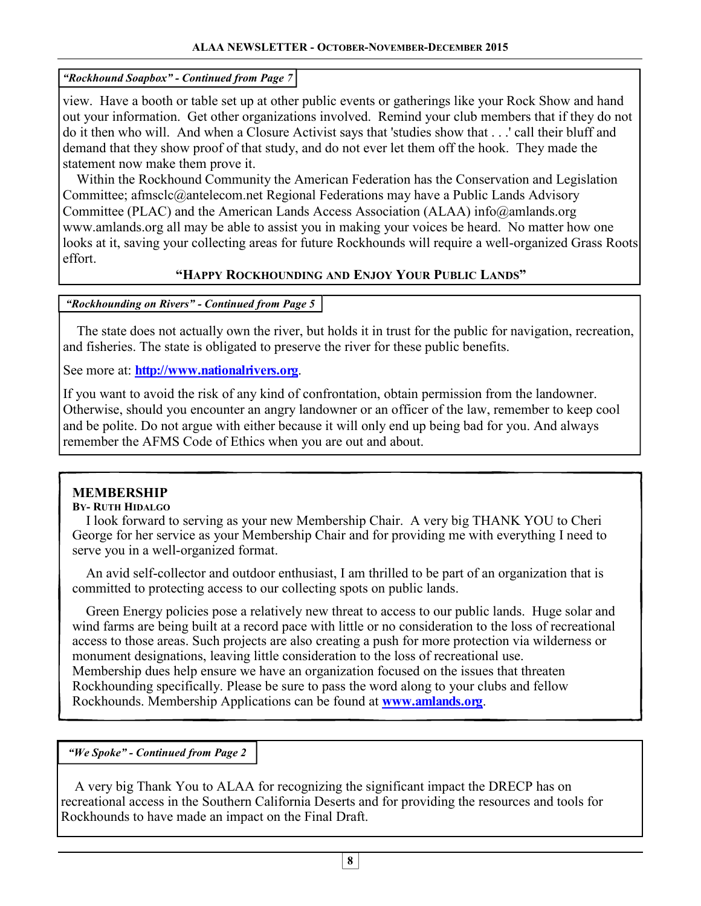#### *"Rockhound Soapbox" - Continued from Page 7*

view. Have a booth or table set up at other public events or gatherings like your Rock Show and hand out your information. Get other organizations involved. Remind your club members that if they do not do it then who will. And when a Closure Activist says that 'studies show that . . .' call their bluff and demand that they show proof of that study, and do not ever let them off the hook. They made the statement now make them prove it.

 Within the Rockhound Community the American Federation has the Conservation and Legislation Committee; afmsclc@antelecom.net Regional Federations may have a Public Lands Advisory Committee (PLAC) and the American Lands Access Association (ALAA) info@amlands.org www.amlands.org all may be able to assist you in making your voices be heard. No matter how one looks at it, saving your collecting areas for future Rockhounds will require a well-organized Grass Roots effort.

### **"HAPPY ROCKHOUNDING AND ENJOY YOUR PUBLIC LANDS"**

#### *"Rockhounding on Rivers" - Continued from Page 5*

 The state does not actually own the river, but holds it in trust for the public for navigation, recreation, and fisheries. The state is obligated to preserve the river for these public benefits.

### See more at: **http://www.nationalrivers.org**.

If you want to avoid the risk of any kind of confrontation, obtain permission from the landowner. Otherwise, should you encounter an angry landowner or an officer of the law, remember to keep cool and be polite. Do not argue with either because it will only end up being bad for you. And always remember the AFMS Code of Ethics when you are out and about.

# **MEMBERSHIP**

#### **BY- RUTH HIDALGO**

 I look forward to serving as your new Membership Chair. A very big THANK YOU to Cheri George for her service as your Membership Chair and for providing me with everything I need to serve you in a well-organized format.

 An avid self-collector and outdoor enthusiast, I am thrilled to be part of an organization that is committed to protecting access to our collecting spots on public lands.

 Green Energy policies pose a relatively new threat to access to our public lands. Huge solar and wind farms are being built at a record pace with little or no consideration to the loss of recreational access to those areas. Such projects are also creating a push for more protection via wilderness or monument designations, leaving little consideration to the loss of recreational use. Membership dues help ensure we have an organization focused on the issues that threaten Rockhounding specifically. Please be sure to pass the word along to your clubs and fellow Rockhounds. Membership Applications can be found at **www.amlands.org**.

#### *"We Spoke" - Continued from Page 2*

 A very big Thank You to ALAA for recognizing the significant impact the DRECP has on recreational access in the Southern California Deserts and for providing the resources and tools for Rockhounds to have made an impact on the Final Draft.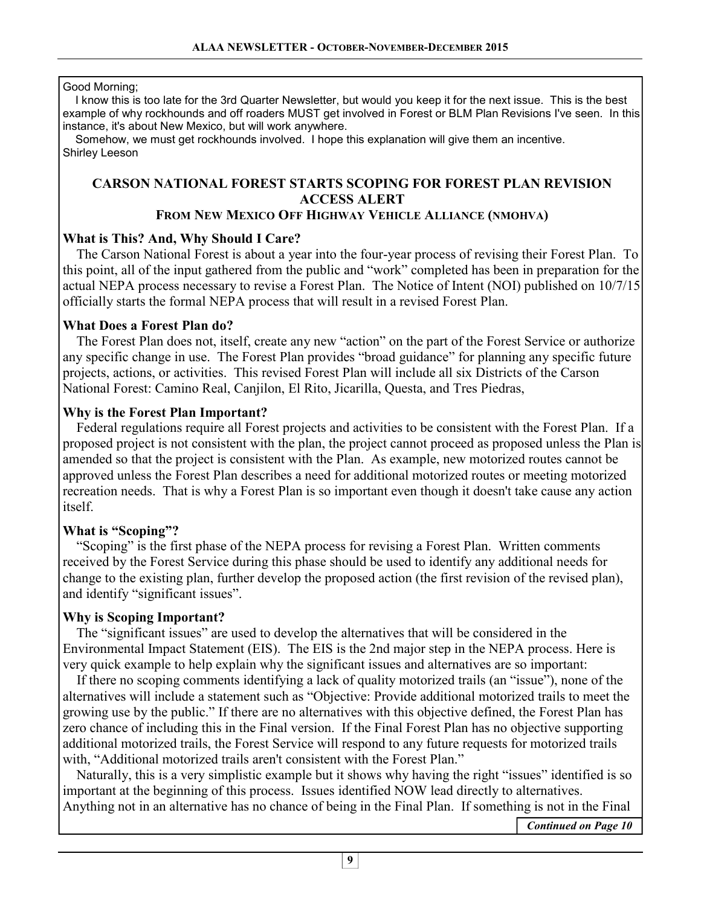#### Good Morning;

 I know this is too late for the 3rd Quarter Newsletter, but would you keep it for the next issue. This is the best example of why rockhounds and off roaders MUST get involved in Forest or BLM Plan Revisions I've seen. In this instance, it's about New Mexico, but will work anywhere.

 Somehow, we must get rockhounds involved. I hope this explanation will give them an incentive. Shirley Leeson

# **CARSON NATIONAL FOREST STARTS SCOPING FOR FOREST PLAN REVISION ACCESS ALERT**

#### **FROM NEW MEXICO OFF HIGHWAY VEHICLE ALLIANCE (NMOHVA)**

### **What is This? And, Why Should I Care?**

 The Carson National Forest is about a year into the four-year process of revising their Forest Plan. To this point, all of the input gathered from the public and "work" completed has been in preparation for the actual NEPA process necessary to revise a Forest Plan. The Notice of Intent (NOI) published on 10/7/15 officially starts the formal NEPA process that will result in a revised Forest Plan.

### **What Does a Forest Plan do?**

 The Forest Plan does not, itself, create any new "action" on the part of the Forest Service or authorize any specific change in use. The Forest Plan provides "broad guidance" for planning any specific future projects, actions, or activities. This revised Forest Plan will include all six Districts of the Carson National Forest: Camino Real, Canjilon, El Rito, Jicarilla, Questa, and Tres Piedras,

### **Why is the Forest Plan Important?**

 Federal regulations require all Forest projects and activities to be consistent with the Forest Plan. If a proposed project is not consistent with the plan, the project cannot proceed as proposed unless the Plan is amended so that the project is consistent with the Plan. As example, new motorized routes cannot be approved unless the Forest Plan describes a need for additional motorized routes or meeting motorized recreation needs. That is why a Forest Plan is so important even though it doesn't take cause any action itself.

### **What is "Scoping"?**

 "Scoping" is the first phase of the NEPA process for revising a Forest Plan. Written comments received by the Forest Service during this phase should be used to identify any additional needs for change to the existing plan, further develop the proposed action (the first revision of the revised plan), and identify "significant issues".

### **Why is Scoping Important?**

 The "significant issues" are used to develop the alternatives that will be considered in the Environmental Impact Statement (EIS). The EIS is the 2nd major step in the NEPA process. Here is very quick example to help explain why the significant issues and alternatives are so important:

 If there no scoping comments identifying a lack of quality motorized trails (an "issue"), none of the alternatives will include a statement such as "Objective: Provide additional motorized trails to meet the growing use by the public." If there are no alternatives with this objective defined, the Forest Plan has zero chance of including this in the Final version. If the Final Forest Plan has no objective supporting additional motorized trails, the Forest Service will respond to any future requests for motorized trails with, "Additional motorized trails aren't consistent with the Forest Plan."

 Naturally, this is a very simplistic example but it shows why having the right "issues" identified is so important at the beginning of this process. Issues identified NOW lead directly to alternatives. Anything not in an alternative has no chance of being in the Final Plan. If something is not in the Final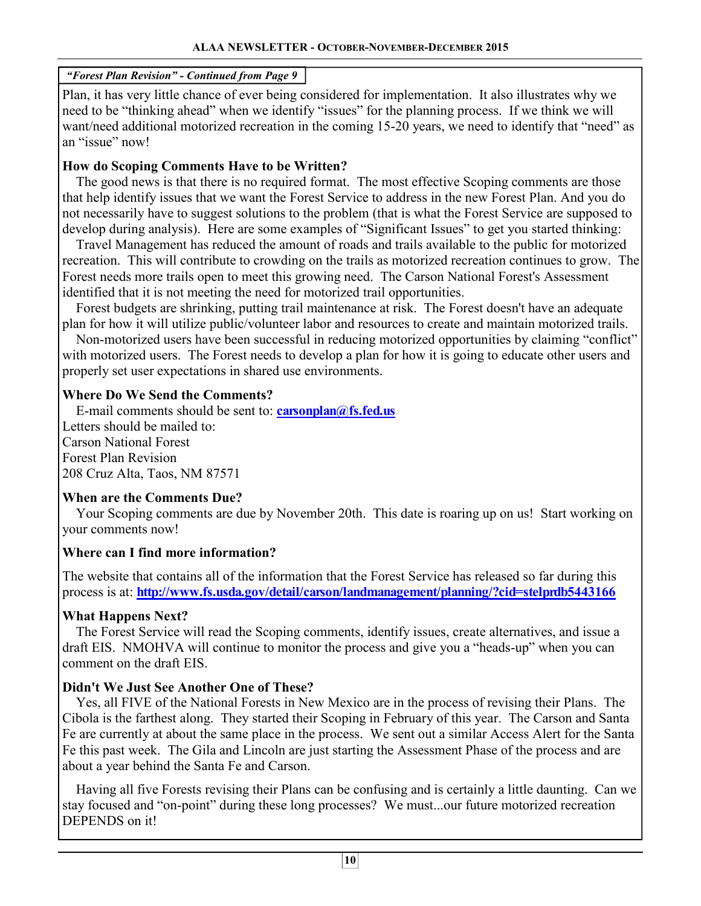#### *"Forest Plan Revision" - Continued from Page 9*

Plan, it has very little chance of ever being considered for implementation. It also illustrates why we need to be "thinking ahead" when we identify "issues" for the planning process. If we think we will want/need additional motorized recreation in the coming 15-20 years, we need to identify that "need" as an "issue" now!

#### **How do Scoping Comments Have to be Written?**

 The good news is that there is no required format. The most effective Scoping comments are those that help identify issues that we want the Forest Service to address in the new Forest Plan. And you do not necessarily have to suggest solutions to the problem (that is what the Forest Service are supposed to develop during analysis). Here are some examples of "Significant Issues" to get you started thinking:

 Travel Management has reduced the amount of roads and trails available to the public for motorized recreation. This will contribute to crowding on the trails as motorized recreation continues to grow. The Forest needs more trails open to meet this growing need. The Carson National Forest's Assessment identified that it is not meeting the need for motorized trail opportunities.

 Forest budgets are shrinking, putting trail maintenance at risk. The Forest doesn't have an adequate plan for how it will utilize public/volunteer labor and resources to create and maintain motorized trails.

 Non-motorized users have been successful in reducing motorized opportunities by claiming "conflict" with motorized users. The Forest needs to develop a plan for how it is going to educate other users and properly set user expectations in shared use environments.

### **Where Do We Send the Comments?**

 E-mail comments should be sent to: **carsonplan@fs.fed.us** Letters should be mailed to: Carson National Forest Forest Plan Revision 208 Cruz Alta, Taos, NM 87571

#### **When are the Comments Due?**

 Your Scoping comments are due by November 20th. This date is roaring up on us! Start working on your comments now!

### **Where can I find more information?**

The website that contains all of the information that the Forest Service has released so far during this process is at: **http://www.fs.usda.gov/detail/carson/landmanagement/planning/?cid=stelprdb5443166** 

### **What Happens Next?**

 The Forest Service will read the Scoping comments, identify issues, create alternatives, and issue a draft EIS. NMOHVA will continue to monitor the process and give you a "heads-up" when you can comment on the draft EIS.

### **Didn't We Just See Another One of These?**

 Yes, all FIVE of the National Forests in New Mexico are in the process of revising their Plans. The Cibola is the farthest along. They started their Scoping in February of this year. The Carson and Santa Fe are currently at about the same place in the process. We sent out a similar Access Alert for the Santa Fe this past week. The Gila and Lincoln are just starting the Assessment Phase of the process and are about a year behind the Santa Fe and Carson.

 Having all five Forests revising their Plans can be confusing and is certainly a little daunting. Can we stay focused and "on-point" during these long processes? We must...our future motorized recreation DEPENDS on it!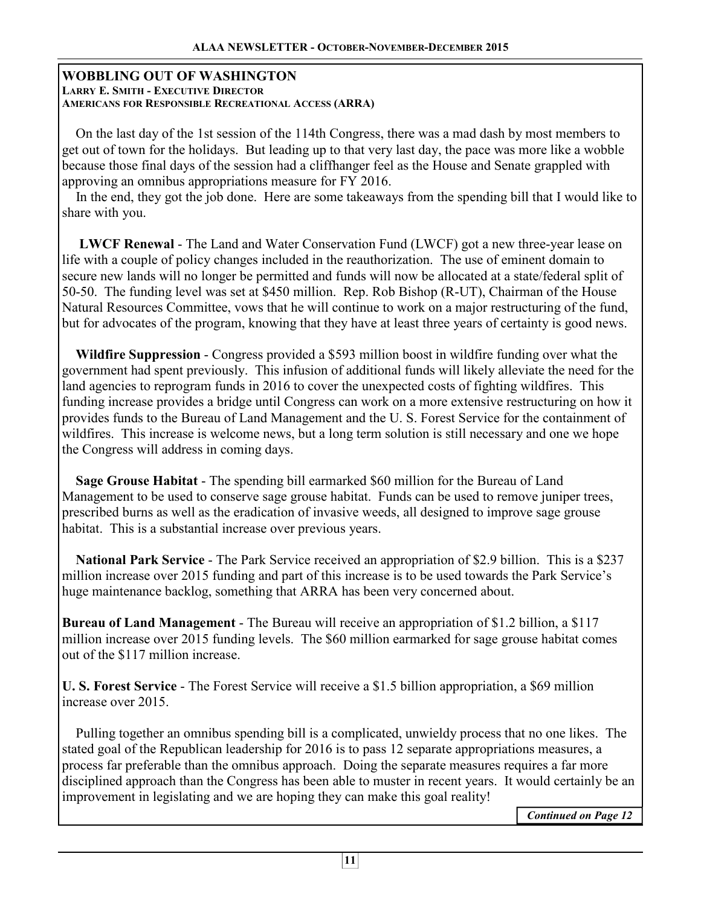#### **WOBBLING OUT OF WASHINGTON LARRY E. SMITH - EXECUTIVE DIRECTOR AMERICANS FOR RESPONSIBLE RECREATIONAL ACCESS (ARRA)**

 On the last day of the 1st session of the 114th Congress, there was a mad dash by most members to get out of town for the holidays. But leading up to that very last day, the pace was more like a wobble because those final days of the session had a cliffhanger feel as the House and Senate grappled with approving an omnibus appropriations measure for FY 2016.

 In the end, they got the job done. Here are some takeaways from the spending bill that I would like to share with you.

 **LWCF Renewal** - The Land and Water Conservation Fund (LWCF) got a new three-year lease on life with a couple of policy changes included in the reauthorization. The use of eminent domain to secure new lands will no longer be permitted and funds will now be allocated at a state/federal split of 50-50. The funding level was set at \$450 million. Rep. Rob Bishop (R-UT), Chairman of the House Natural Resources Committee, vows that he will continue to work on a major restructuring of the fund, but for advocates of the program, knowing that they have at least three years of certainty is good news.

 **Wildfire Suppression** - Congress provided a \$593 million boost in wildfire funding over what the government had spent previously. This infusion of additional funds will likely alleviate the need for the land agencies to reprogram funds in 2016 to cover the unexpected costs of fighting wildfires. This funding increase provides a bridge until Congress can work on a more extensive restructuring on how it provides funds to the Bureau of Land Management and the U. S. Forest Service for the containment of wildfires. This increase is welcome news, but a long term solution is still necessary and one we hope the Congress will address in coming days.

 **Sage Grouse Habitat** - The spending bill earmarked \$60 million for the Bureau of Land Management to be used to conserve sage grouse habitat. Funds can be used to remove juniper trees, prescribed burns as well as the eradication of invasive weeds, all designed to improve sage grouse habitat. This is a substantial increase over previous years.

 **National Park Service** - The Park Service received an appropriation of \$2.9 billion. This is a \$237 million increase over 2015 funding and part of this increase is to be used towards the Park Service's huge maintenance backlog, something that ARRA has been very concerned about.

**Bureau of Land Management** - The Bureau will receive an appropriation of \$1.2 billion, a \$117 million increase over 2015 funding levels. The \$60 million earmarked for sage grouse habitat comes out of the \$117 million increase.

**U. S. Forest Service** - The Forest Service will receive a \$1.5 billion appropriation, a \$69 million increase over 2015.

 Pulling together an omnibus spending bill is a complicated, unwieldy process that no one likes. The stated goal of the Republican leadership for 2016 is to pass 12 separate appropriations measures, a process far preferable than the omnibus approach. Doing the separate measures requires a far more disciplined approach than the Congress has been able to muster in recent years. It would certainly be an improvement in legislating and we are hoping they can make this goal reality!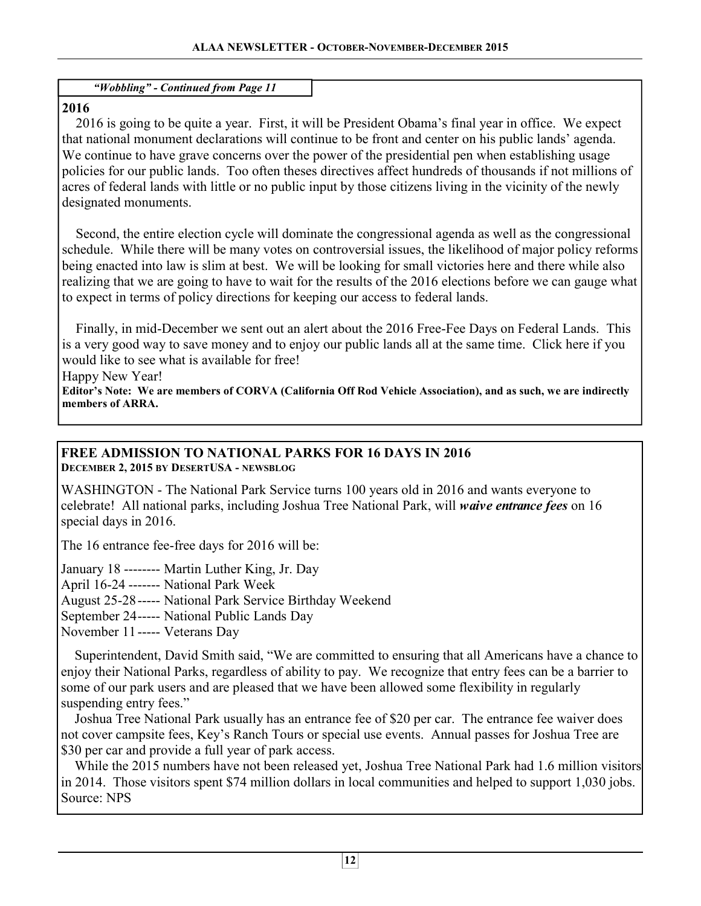*"Wobbling" - Continued from Page 11* 

## **2016**

 2016 is going to be quite a year. First, it will be President Obama's final year in office. We expect that national monument declarations will continue to be front and center on his public lands' agenda. We continue to have grave concerns over the power of the presidential pen when establishing usage policies for our public lands. Too often theses directives affect hundreds of thousands if not millions of acres of federal lands with little or no public input by those citizens living in the vicinity of the newly designated monuments.

 Second, the entire election cycle will dominate the congressional agenda as well as the congressional schedule. While there will be many votes on controversial issues, the likelihood of major policy reforms being enacted into law is slim at best. We will be looking for small victories here and there while also realizing that we are going to have to wait for the results of the 2016 elections before we can gauge what to expect in terms of policy directions for keeping our access to federal lands.

 Finally, in mid-December we sent out an alert about the 2016 Free-Fee Days on Federal Lands. This is a very good way to save money and to enjoy our public lands all at the same time. Click here if you would like to see what is available for free!

Happy New Year!

**Editor's Note: We are members of CORVA (California Off Rod Vehicle Association), and as such, we are indirectly members of ARRA.** 

#### **FREE ADMISSION TO NATIONAL PARKS FOR 16 DAYS IN 2016 DECEMBER 2, 2015 BY DESERTUSA - NEWSBLOG**

WASHINGTON - The National Park Service turns 100 years old in 2016 and wants everyone to celebrate! All national parks, including Joshua Tree National Park, will *waive entrance fees* on 16 special days in 2016.

The 16 entrance fee-free days for 2016 will be:

January 18 -------- Martin Luther King, Jr. Day

April 16-24 ------- National Park Week

August 25-28 ----- National Park Service Birthday Weekend

September 24 ----- National Public Lands Day

November 11 ----- Veterans Day

 Superintendent, David Smith said, "We are committed to ensuring that all Americans have a chance to enjoy their National Parks, regardless of ability to pay. We recognize that entry fees can be a barrier to some of our park users and are pleased that we have been allowed some flexibility in regularly suspending entry fees."

 Joshua Tree National Park usually has an entrance fee of \$20 per car. The entrance fee waiver does not cover campsite fees, Key's Ranch Tours or special use events. Annual passes for Joshua Tree are \$30 per car and provide a full year of park access.

 While the 2015 numbers have not been released yet, Joshua Tree National Park had 1.6 million visitors in 2014. Those visitors spent \$74 million dollars in local communities and helped to support 1,030 jobs. Source: NPS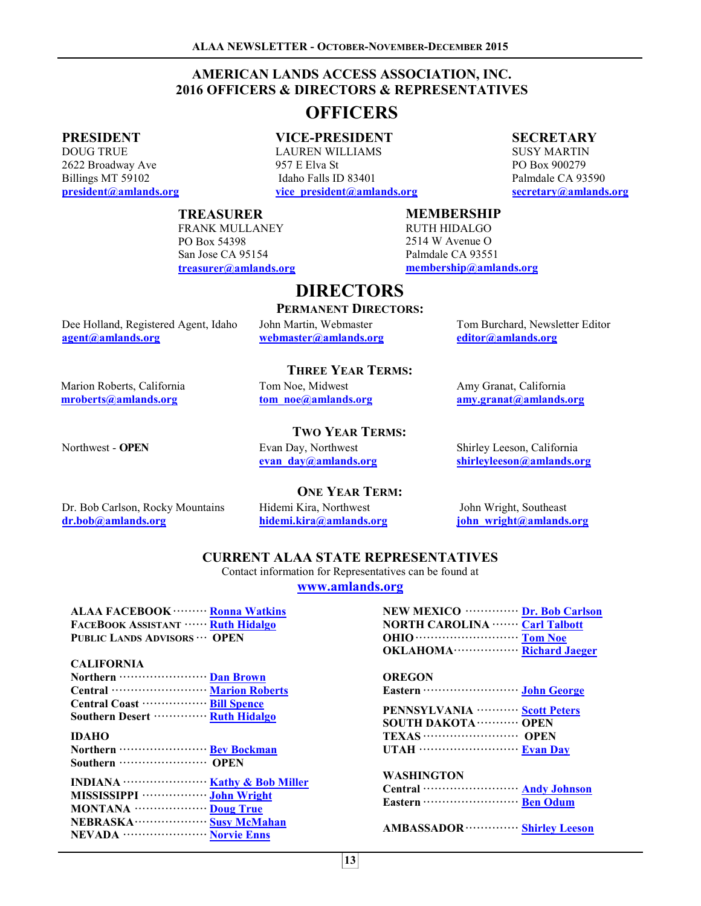#### **AMERICAN LANDS ACCESS ASSOCIATION, INC. 2016 OFFICERS & DIRECTORS & REPRESENTATIVES**

# **OFFICERS**

#### **PRESIDENT**

DOUG TRUE 2622 Broadway Ave Billings MT 59102 **president@amlands.org** 

#### **VICE-PRESIDENT**

LAUREN WILLIAMS 957 E Elva St Idaho Falls ID 83401 **vice\_president@amlands.org** 

#### **SECRETARY**

SUSY MARTIN PO Box 900279 Palmdale CA 93590 **secretary@amlands.org**

#### **TREASURER**

FRANK MULLANEY PO Box 54398 San Jose CA 95154 **treasurer@amlands.org** 

#### **MEMBERSHIP**

RUTH HIDALGO 2514 W Avenue O Palmdale CA 93551 **membership@amlands.org** 

Dee Holland, Registered Agent, Idaho **agent@amlands.org** 

John Martin, Webmaster **webmaster@amlands.org** 

Tom Burchard, Newsletter Editor **editor@amlands.org**

Marion Roberts, California **mroberts@amlands.org** 

#### **THREE YEAR TERMS:**

**DIRECTORS** 

**PERMANENT DIRECTORS:** 

Tom Noe, Midwest **tom\_noe@amlands.org** Amy Granat, California **amy.granat@amlands.org**

Northwest - **OPEN** Evan Day, Northwest

**TWO YEAR TERMS:** 

**evan\_day@amlands.org**

#### Shirley Leeson, California **shirleyleeson@amlands.org**

**ONE YEAR TERM:** 

Dr. Bob Carlson, Rocky Mountains **dr.bob@amlands.org** 

Hidemi Kira, Northwest **hidemi.kira@amlands.org**

John Wright, Southeast **john\_wright@amlands.org**

#### **CURRENT ALAA STATE REPRESENTATIVES**

Contact information for Representatives can be found at

**www.amlands.org**

| ALAA FACEBOOK ……… Ronna Watkins         | NEW MEXICO ················· Dr. Bob Carlson |
|-----------------------------------------|----------------------------------------------|
| <b>FACEBOOK ASSISTANT  Ruth Hidalgo</b> | <b>NORTH CAROLINA ······· Carl Talbott</b>   |
| PUBLIC LANDS ADVISORS  OPEN             |                                              |
|                                         | OKI AHOMA Dichard Jacques                    |

#### **CALIFORNIA**

| Central …………………… Marion Roberts   |  |
|-----------------------------------|--|
| Central Coast ………………… Bill Spence |  |
| Southern Desert ………… Ruth Hidalgo |  |

#### **IDAHO**

| MISSISSIPPI ··························· John Wright |  |
|-----------------------------------------------------|--|
| MONTANA  Doug True                                  |  |
| NEBRASKA ·························· Susy McMahan    |  |
| NEVADA ························· Norvie Enns        |  |

|                                                       | 10111100 |
|-------------------------------------------------------|----------|
| OREGON                                                |          |
|                                                       |          |
| PENNSYLVANIA ············ Scott Peters                |          |
| <b>SOUTH DAKOTA ············ OPEN</b>                 |          |
| TEXAS  OPEN                                           |          |
|                                                       |          |
| WASHINGTON                                            |          |
| Central ································ Andy Johnson |          |
|                                                       |          |
|                                                       |          |

**AMBASSADOR ·············· Shirley Leeson**